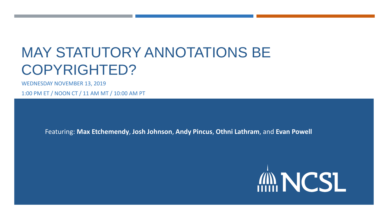## MAY STATUTORY ANNOTATIONS BE COPYRIGHTED?

WEDNESDAY NOVEMBER 13, 2019

1:00 PM ET / NOON CT / 11 AM MT / 10:00 AM PT

Featuring: **Max Etchemendy**, **Josh Johnson**, **Andy Pincus**, **Othni Lathram**, and **Evan Powell**

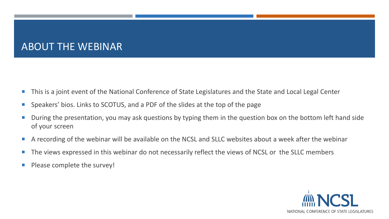#### ABOUT THE WEBINAR

- This is a joint event of the National Conference of State Legislatures and the State and Local Legal Center
- Speakers' bios. Links to SCOTUS, and a PDF of the slides at the top of the page
- During the presentation, you may ask questions by typing them in the question box on the bottom left hand side of your screen
- A recording of the webinar will be available on the NCSL and SLLC websites about a week after the webinar
- The views expressed in this webinar do not necessarily reflect the views of NCSL or the SLLC members
- **Please complete the survey!**

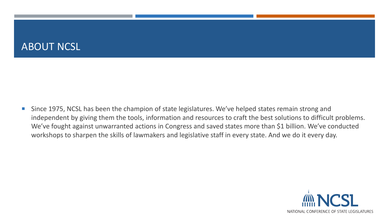#### ABOUT NCSL

■ Since 1975, NCSL has been the champion of state legislatures. We've helped states remain strong and independent by giving them the tools, information and resources to craft the best solutions to difficult problems. We've fought against unwarranted actions in Congress and saved states more than \$1 billion. We've conducted workshops to sharpen the skills of lawmakers and legislative staff in every state. And we do it every day.

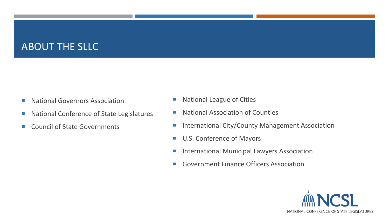#### ABOUT THE SLLC

- **National Governors Association**
- National Conference of State Legislatures
- Council of State Governments
- **National League of Cities**
- National Association of Counties
- **International City/County Management Association**
- U.S. Conference of Mayors
- **International Municipal Lawyers Association**
- Government Finance Officers Association

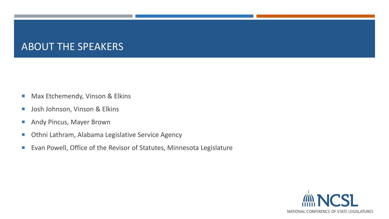#### ABOUT THE SPEAKERS

- **Max Etchemendy, Vinson & Elkins**
- **Josh Johnson, Vinson & Elkins**
- **Andy Pincus, Mayer Brown**
- **Diamia Lathram, Alabama Legislative Service Agency**
- **Evan Powell, Office of the Revisor of Statutes, Minnesota Legislature**

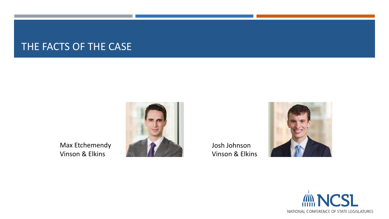#### THE FACTS OF THE CASE

Max Etchemendy

Vinson & Elkins



Josh Johnson Vinson & Elkins



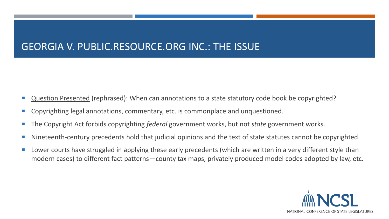#### GEORGIA V. PUBLIC.RESOURCE.ORG INC.: THE ISSUE

- Question Presented (rephrased): When can annotations to a state statutory code book be copyrighted?
- Copyrighting legal annotations, commentary, etc. is commonplace and unquestioned.
- The Copyright Act forbids copyrighting *federal* government works, but not *state* government works.
- Nineteenth-century precedents hold that judicial opinions and the text of state statutes cannot be copyrighted.
- **Lower courts have struggled in applying these early precedents (which are written in a very different style than** modern cases) to different fact patterns—county tax maps, privately produced model codes adopted by law, etc.

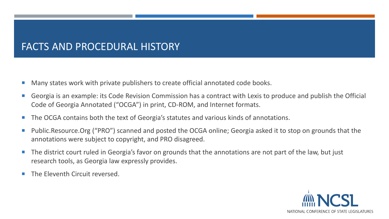#### FACTS AND PROCEDURAL HISTORY

- Many states work with private publishers to create official annotated code books.
- Georgia is an example: its Code Revision Commission has a contract with Lexis to produce and publish the Official Code of Georgia Annotated ("OCGA") in print, CD-ROM, and Internet formats.
- The OCGA contains both the text of Georgia's statutes and various kinds of annotations.
- Public.Resource.Org ("PRO") scanned and posted the OCGA online; Georgia asked it to stop on grounds that the annotations were subject to copyright, and PRO disagreed.
- The district court ruled in Georgia's favor on grounds that the annotations are not part of the law, but just research tools, as Georgia law expressly provides.
- The Eleventh Circuit reversed.

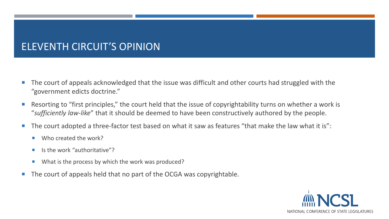#### ELEVENTH CIRCUIT'S OPINION

- The court of appeals acknowledged that the issue was difficult and other courts had struggled with the "government edicts doctrine."
- Resorting to "first principles," the court held that the issue of copyrightability turns on whether a work is "*sufficiently law-like*" that it should be deemed to have been constructively authored by the people.
- The court adopted a three-factor test based on what it saw as features "that make the law what it is":
	- Who created the work?
	- $\blacksquare$  Is the work "authoritative"?
	- What is the process by which the work was produced?
- The court of appeals held that no part of the OCGA was copyrightable.

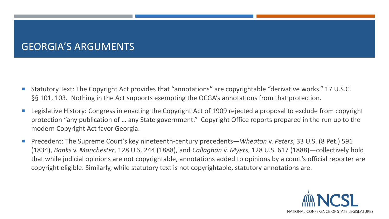#### GEORGIA'S ARGUMENTS

- Statutory Text: The Copyright Act provides that "annotations" are copyrightable "derivative works." 17 U.S.C. §§ 101, 103. Nothing in the Act supports exempting the OCGA's annotations from that protection.
- Legislative History: Congress in enacting the Copyright Act of 1909 rejected a proposal to exclude from copyright protection "any publication of … any State government." Copyright Office reports prepared in the run up to the modern Copyright Act favor Georgia.
- Precedent: The Supreme Court's key nineteenth-century precedents—*Wheaton* v. *Peters*, 33 U.S. (8 Pet.) 591 (1834), *Banks* v. *Manchester*, 128 U.S. 244 (1888), and *Callaghan* v. *Myers*, 128 U.S. 617 (1888)—collectively hold that while judicial opinions are not copyrightable, annotations added to opinions by a court's official reporter are copyright eligible. Similarly, while statutory text is not copyrightable, statutory annotations are.

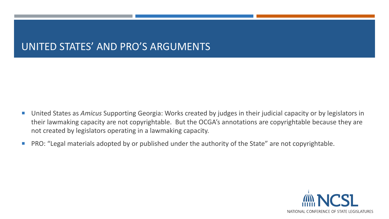#### UNITED STATES' AND PRO'S ARGUMENTS

- United States as *Amicus* Supporting Georgia: Works created by judges in their judicial capacity or by legislators in their lawmaking capacity are not copyrightable. But the OCGA's annotations are copyrightable because they are not created by legislators operating in a lawmaking capacity.
- **PRO: "Legal materials adopted by or published under the authority of the State" are not copyrightable.**

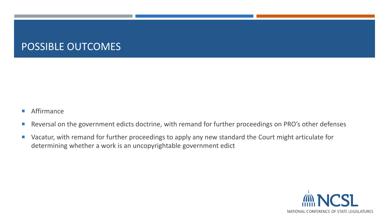#### POSSIBLE OUTCOMES

- **Affirmance**
- **Reversal on the government edicts doctrine, with remand for further proceedings on PRO's other defenses**
- **UX** Vacatur, with remand for further proceedings to apply any new standard the Court might articulate for determining whether a work is an uncopyrightable government edict

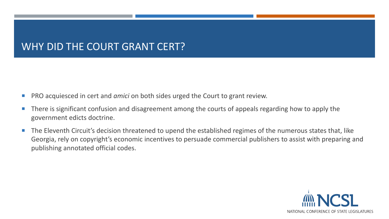#### WHY DID THE COURT GRANT CERT?

- PRO acquiesced in cert and *amici* on both sides urged the Court to grant review.
- There is significant confusion and disagreement among the courts of appeals regarding how to apply the government edicts doctrine.
- The Eleventh Circuit's decision threatened to upend the established regimes of the numerous states that, like Georgia, rely on copyright's economic incentives to persuade commercial publishers to assist with preparing and publishing annotated official codes.

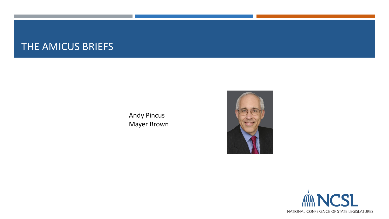#### THE AMICUS BRIEFS

Andy Pincus Mayer Brown



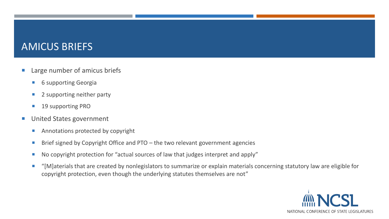- Large number of amicus briefs
	- **6 supporting Georgia**
	- 2 supporting neither party
	- **19 supporting PRO**
- **United States government** 
	- **Annotations protected by copyright**
	- Brief signed by Copyright Office and PTO the two relevant government agencies
	- No copyright protection for "actual sources of law that judges interpret and apply"
	- "[M]aterials that are created by nonlegislators to summarize or explain materials concerning statutory law are eligible for copyright protection, even though the underlying statutes themselves are not"

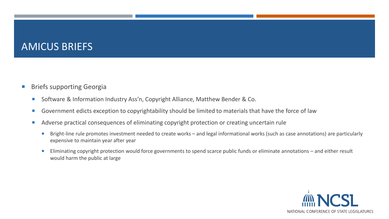- **Briefs supporting Georgia** 
	- Software & Information Industry Ass'n, Copyright Alliance, Matthew Bender & Co.
	- **Government edicts exception to copyrightability should be limited to materials that have the force of law**
	- **Adverse practical consequences of eliminating copyright protection or creating uncertain rule** 
		- Bright-line rule promotes investment needed to create works and legal informational works (such as case annotations) are particularly expensive to maintain year after year
		- Eliminating copyright protection would force governments to spend scarce public funds or eliminate annotations and either result would harm the public at large

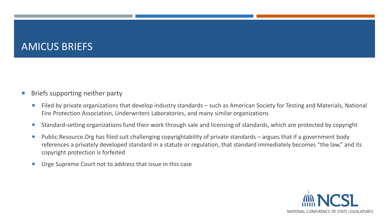#### Briefs supporting neither party

- Filed by private organizations that develop industry standards such as American Society for Testing and Materials, National Fire Protection Association, Underwriters Laboratories, and many similar organizations
- Standard-setting organizations fund their work through sale and licensing of standards, which are protected by copyright
- Public.Resource.Org has filed suit challenging copyrightability of private standards argues that if a government body references a privately developed standard in a statute or regulation, that standard immediately becomes "the law," and its copyright protection is forfeited
- **Urge Supreme Court not to address that issue in this case**

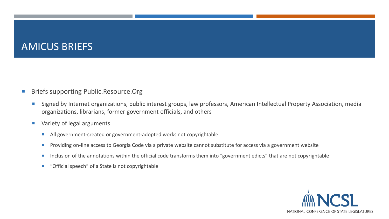- Briefs supporting Public.Resource.Org
	- **Signed by Internet organizations, public interest groups, law professors, American Intellectual Property Association, media** organizations, librarians, former government officials, and others
	- **Variety of legal arguments** 
		- All government-created or government-adopted works not copyrightable
		- **Providing on-line access to Georgia Code via a private website cannot substitute for access via a government website**
		- Inclusion of the annotations within the official code transforms them into "government edicts" that are not copyrightable
		- "Official speech" of a State is not copyrightable

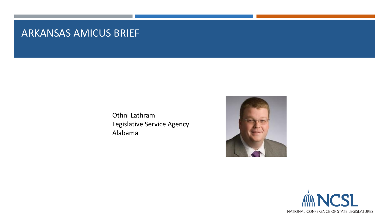#### ARKANSAS AMICUS BRIEF

Othni Lathram Legislative Service Agency Alabama



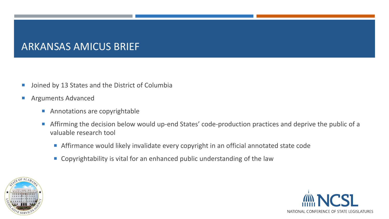#### ARKANSAS AMICUS BRIEF

- **Joined by 13 States and the District of Columbia**
- **Arguments Advanced** 
	- **Annotations are copyrightable**
	- Affirming the decision below would up-end States' code-production practices and deprive the public of a valuable research tool
		- Affirmance would likely invalidate every copyright in an official annotated state code
		- Copyrightability is vital for an enhanced public understanding of the law



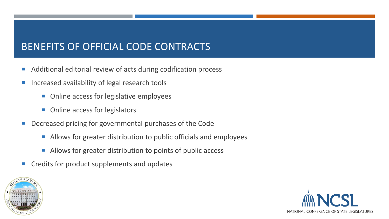#### BENEFITS OF OFFICIAL CODE CONTRACTS

- Additional editorial review of acts during codification process
- Increased availability of legal research tools
	- Online access for legislative employees
	- Online access for legislators
- **Decreased pricing for governmental purchases of the Code** 
	- Allows for greater distribution to public officials and employees
	- Allows for greater distribution to points of public access
- Credits for product supplements and updates



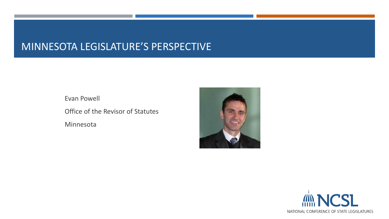#### MINNESOTA LEGISLATURE'S PERSPECTIVE

Evan Powell Office of the Revisor of Statutes Minnesota



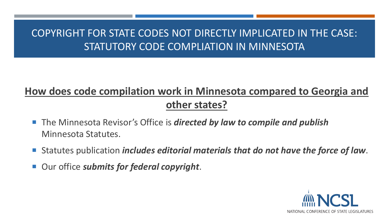#### COPYRIGHT FOR STATE CODES NOT DIRECTLY IMPLICATED IN THE CASE: STATUTORY CODE COMPLIATION IN MINNESOTA

### **How does code compilation work in Minnesota compared to Georgia and other states?**

- The Minnesota Revisor's Office is *directed by law to compile and publish* Minnesota Statutes.
- Statutes publication *includes editorial materials that do not have the force of law*.
- Our office *submits for federal copyright*.

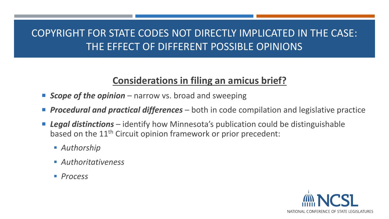#### COPYRIGHT FOR STATE CODES NOT DIRECTLY IMPLICATED IN THE CASE: THE EFFECT OF DIFFERENT POSSIBLE OPINIONS

#### **Considerations in filing an amicus brief?**

- **Scope of the opinion** narrow vs. broad and sweeping
- **Procedural and practical differences** both in code compilation and legislative practice
- *Legal distinctions* identify how Minnesota's publication could be distinguishable based on the 11<sup>th</sup> Circuit opinion framework or prior precedent:
	- *Authorship*
	- *Authoritativeness*
	- *Process*

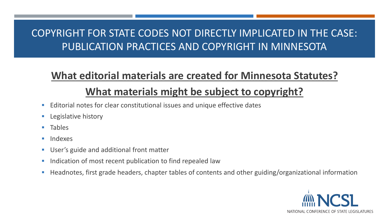#### COPYRIGHT FOR STATE CODES NOT DIRECTLY IMPLICATED IN THE CASE: PUBLICATION PRACTICES AND COPYRIGHT IN MINNESOTA

### **What editorial materials are created for Minnesota Statutes?**

#### **What materials might be subject to copyright?**

- Editorial notes for clear constitutional issues and unique effective dates
- Legislative history
- **Tables**
- **Indexes**
- User's guide and additional front matter
- Indication of most recent publication to find repealed law
- Headnotes, first grade headers, chapter tables of contents and other guiding/organizational information

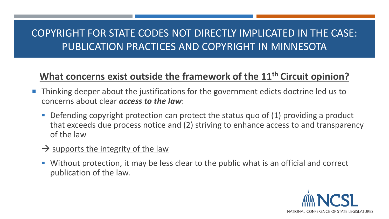#### COPYRIGHT FOR STATE CODES NOT DIRECTLY IMPLICATED IN THE CASE: PUBLICATION PRACTICES AND COPYRIGHT IN MINNESOTA

#### **What concerns exist outside the framework of the 11th Circuit opinion?**

- Thinking deeper about the justifications for the government edicts doctrine led us to concerns about clear *access to the law*:
	- Defending copyright protection can protect the status quo of  $(1)$  providing a product that exceeds due process notice and (2) striving to enhance access to and transparency of the law
	- $\rightarrow$  supports the integrity of the law
	- Without protection, it may be less clear to the public what is an official and correct publication of the law.

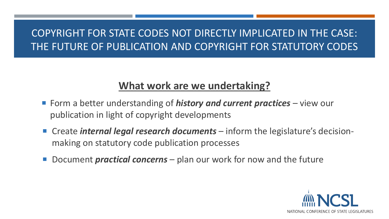#### COPYRIGHT FOR STATE CODES NOT DIRECTLY IMPLICATED IN THE CASE: THE FUTURE OF PUBLICATION AND COPYRIGHT FOR STATUTORY CODES

#### **What work are we undertaking?**

- Form a better understanding of *history and current practices* view our publication in light of copyright developments
- Create *internal legal research documents* inform the legislature's decisionmaking on statutory code publication processes
- Document *practical concerns* plan our work for now and the future

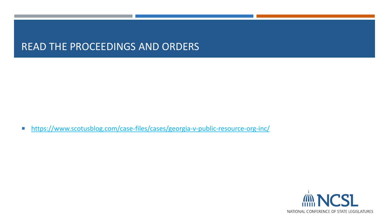#### READ THE PROCEEDINGS AND ORDERS

■ <https://www.scotusblog.com/case-files/cases/georgia-v-public-resource-org-inc/>